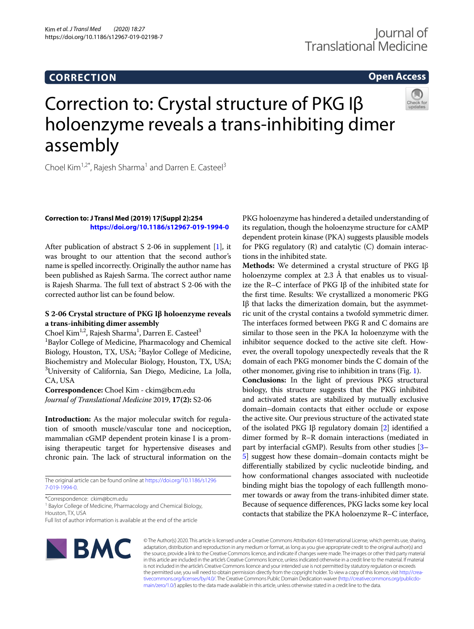# **CORRECTION**

# **Open Access**

# Correction to: Crystal structure of PKG Iβ holoenzyme reveals a trans-inhibiting dimer assembly



Choel Kim<sup>1,2\*</sup>, Rajesh Sharma<sup>1</sup> and Darren E. Casteel<sup>3</sup>

### **Correction to: J Transl Med (2019) 17(Suppl 2):254 <https://doi.org/10.1186/s12967-019-1994-0>**

After publication of abstract S 2-06 in supplement  $[1]$  $[1]$ , it was brought to our attention that the second author's name is spelled incorrectly. Originally the author name has been published as Rajesh Sarma. The correct author name is Rajesh Sharma. The full text of abstract S 2-06 with the corrected author list can be found below.

# **S 2‑06 Crystal structure of PKG Iβ holoenzyme reveals a trans‑inhibiting dimer assembly**

Choel Kim<sup>1,2</sup>, Rajesh Sharma<sup>1</sup>, Darren E. Casteel<sup>3</sup> 1 Baylor College of Medicine, Pharmacology and Chemical Biology, Houston, TX, USA; <sup>2</sup>Baylor College of Medicine, Biochemistry and Molecular Biology, Houston, TX, USA; 3 University of California, San Diego, Medicine, La Jolla, CA, USA

**Correspondence:** Choel Kim - ckim@bcm.edu *Journal of Translational Medicine* 2019, **17(2):** S2-06

**Introduction:** As the major molecular switch for regulation of smooth muscle/vascular tone and nociception, mammalian cGMP dependent protein kinase I is a promising therapeutic target for hypertensive diseases and chronic pain. The lack of structural information on the

The original article can be found online at [https://doi.org/10.1186/s1296](https://doi.org/10.1186/s12967-019-1994-0) [7-019-1994-0](https://doi.org/10.1186/s12967-019-1994-0).

\*Correspondence: ckim@bcm.edu

<sup>1</sup> Baylor College of Medicine, Pharmacology and Chemical Biology, Houston, TX, USA

Full list of author information is available at the end of the article

**NBMC** 

PKG holoenzyme has hindered a detailed understanding of its regulation, though the holoenzyme structure for cAMP dependent protein kinase (PKA) suggests plausible models for PKG regulatory  $(R)$  and catalytic  $(C)$  domain interactions in the inhibited state.

**Methods:** We determined a crystal structure of PKG Iβ holoenzyme complex at  $2.3 \text{ Å}$  that enables us to visualize the R–C interface of PKG Iβ of the inhibited state for the frst time. Results: We crystallized a monomeric PKG I $β$  that lacks the dimerization domain, but the asymmetric unit of the crystal contains a twofold symmetric dimer. The interfaces formed between PKG R and C domains are similar to those seen in the PKA Iα holoenzyme with the inhibitor sequence docked to the active site cleft. However, the overall topology unexpectedly reveals that the R domain of each PKG monomer binds the C domain of the other monomer, giving rise to inhibition in trans (Fig. [1\)](#page-1-1).

**Conclusions:** In the light of previous PKG structural biology, this structure suggests that the PKG inhibited and activated states are stabilized by mutually exclusive domain–domain contacts that either occlude or expose the active site. Our previous structure of the activated state of the isolated PKG Iβ regulatory domain [[2](#page-1-2)] identifed a dimer formed by R–R domain interactions (mediated in part by interfacial cGMP). Results from other studies [[3–](#page-1-3) [5\]](#page-1-4) suggest how these domain–domain contacts might be diferentially stabilized by cyclic nucleotide binding, and how conformational changes associated with nucleotide binding might bias the topology of each fulllength monomer towards or away from the trans-inhibited dimer state. Because of sequence diferences, PKG lacks some key local contacts that stabilize the PKA holoenzyme R–C interface,

© The Author(s) 2020. This article is licensed under a Creative Commons Attribution 4.0 International License, which permits use, sharing, adaptation, distribution and reproduction in any medium or format, as long as you give appropriate credit to the original author(s) and the source, provide a link to the Creative Commons licence, and indicate if changes were made. The images or other third party material in this article are included in the article's Creative Commons licence, unless indicated otherwise in a credit line to the material. If material is not included in the article's Creative Commons licence and your intended use is not permitted by statutory regulation or exceeds the permitted use, you will need to obtain permission directly from the copyright holder. To view a copy of this licence, visit [http://crea](http://creativecommons.org/licenses/by/4.0/)[tivecommons.org/licenses/by/4.0/.](http://creativecommons.org/licenses/by/4.0/) The Creative Commons Public Domain Dedication waiver ([http://creativecommons.org/publicdo](http://creativecommons.org/publicdomain/zero/1.0/)[main/zero/1.0/\)](http://creativecommons.org/publicdomain/zero/1.0/) applies to the data made available in this article, unless otherwise stated in a credit line to the data.